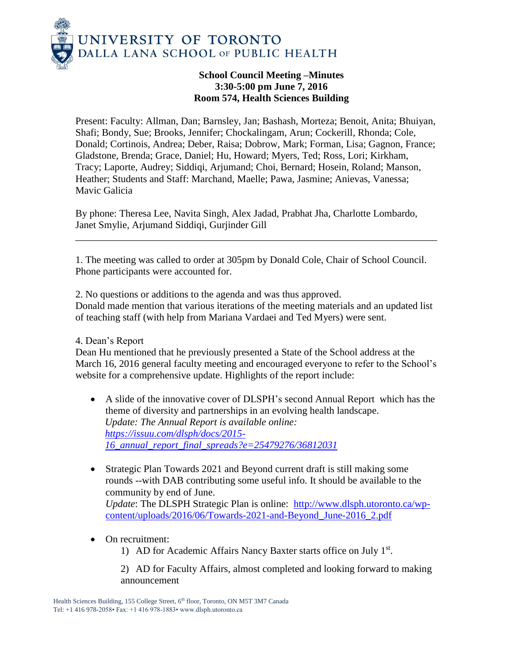

## **School Council Meeting –Minutes 3:30-5:00 pm June 7, 2016 Room 574, Health Sciences Building**

Present: Faculty: Allman, Dan; Barnsley, Jan; Bashash, Morteza; Benoit, Anita; Bhuiyan, Shafi; Bondy, Sue; Brooks, Jennifer; Chockalingam, Arun; Cockerill, Rhonda; Cole, Donald; Cortinois, Andrea; Deber, Raisa; Dobrow, Mark; Forman, Lisa; Gagnon, France; Gladstone, Brenda; Grace, Daniel; Hu, Howard; Myers, Ted; Ross, Lori; Kirkham, Tracy; Laporte, Audrey; Siddiqi, Arjumand; Choi, Bernard; Hosein, Roland; Manson, Heather; Students and Staff: Marchand, Maelle; Pawa, Jasmine; Anievas, Vanessa; Mavic Galicia

By phone: Theresa Lee, Navita Singh, Alex Jadad, Prabhat Jha, Charlotte Lombardo, Janet Smylie, Arjumand Siddiqi, Gurjinder Gill

1. The meeting was called to order at 305pm by Donald Cole, Chair of School Council. Phone participants were accounted for.

\_\_\_\_\_\_\_\_\_\_\_\_\_\_\_\_\_\_\_\_\_\_\_\_\_\_\_\_\_\_\_\_\_\_\_\_\_\_\_\_\_\_\_\_\_\_\_\_\_\_\_\_\_\_\_\_\_\_\_\_\_\_\_\_\_\_\_\_\_\_\_\_

2. No questions or additions to the agenda and was thus approved. Donald made mention that various iterations of the meeting materials and an updated list of teaching staff (with help from Mariana Vardaei and Ted Myers) were sent.

4. Dean's Report

Dean Hu mentioned that he previously presented a State of the School address at the March 16, 2016 general faculty meeting and encouraged everyone to refer to the School's website for a comprehensive update. Highlights of the report include:

- A slide of the innovative cover of DLSPH's second Annual Report which has the theme of diversity and partnerships in an evolving health landscape. *Update: The Annual Report is available online: [https://issuu.com/dlsph/docs/2015-](https://issuu.com/dlsph/docs/2015-16_annual_report_final_spreads?e=25479276/36812031) [16\\_annual\\_report\\_final\\_spreads?e=25479276/36812031](https://issuu.com/dlsph/docs/2015-16_annual_report_final_spreads?e=25479276/36812031)*
- Strategic Plan Towards 2021 and Beyond current draft is still making some rounds --with DAB contributing some useful info. It should be available to the community by end of June. *Update*: The DLSPH Strategic Plan is online: [http://www.dlsph.utoronto.ca/wp](http://www.dlsph.utoronto.ca/wp-content/uploads/2016/06/Towards-2021-and-Beyond_June-2016_2.pdf)[content/uploads/2016/06/Towards-2021-and-Beyond\\_June-2016\\_2.pdf](http://www.dlsph.utoronto.ca/wp-content/uploads/2016/06/Towards-2021-and-Beyond_June-2016_2.pdf)
- On recruitment:
	- 1) AD for Academic Affairs Nancy Baxter starts office on July 1<sup>st</sup>.

2) AD for Faculty Affairs, almost completed and looking forward to making announcement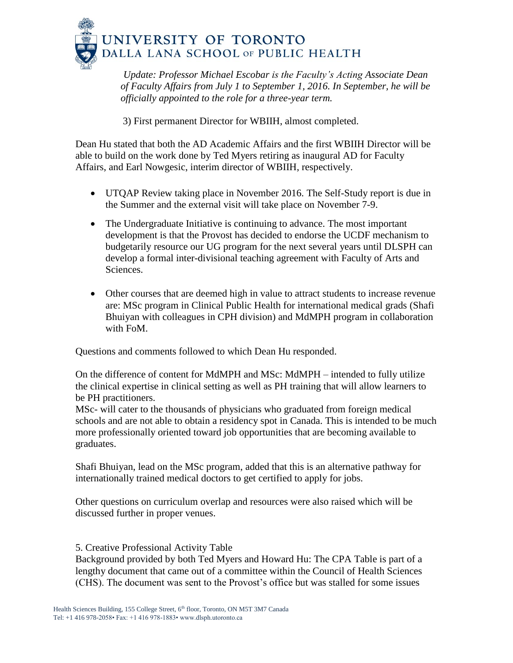

*Update: [Professor Michael Escobar](http://www.dlsph.utoronto.ca/faculty-profile/escobar-michael/) is the Faculty's Acting Associate Dean of Faculty Affairs from July 1 to September 1, 2016. In September, he will be officially appointed to the role for a three-year term.*

3) First permanent Director for WBIIH, almost completed.

Dean Hu stated that both the AD Academic Affairs and the first WBIIH Director will be able to build on the work done by Ted Myers retiring as inaugural AD for Faculty Affairs, and Earl Nowgesic, interim director of WBIIH, respectively.

- UTQAP Review taking place in November 2016. The Self-Study report is due in the Summer and the external visit will take place on November 7-9.
- The Undergraduate Initiative is continuing to advance. The most important development is that the Provost has decided to endorse the UCDF mechanism to budgetarily resource our UG program for the next several years until DLSPH can develop a formal inter-divisional teaching agreement with Faculty of Arts and Sciences.
- Other courses that are deemed high in value to attract students to increase revenue are: MSc program in Clinical Public Health for international medical grads (Shafi Bhuiyan with colleagues in CPH division) and MdMPH program in collaboration with FoM.

Questions and comments followed to which Dean Hu responded.

On the difference of content for MdMPH and MSc: MdMPH – intended to fully utilize the clinical expertise in clinical setting as well as PH training that will allow learners to be PH practitioners.

MSc- will cater to the thousands of physicians who graduated from foreign medical schools and are not able to obtain a residency spot in Canada. This is intended to be much more professionally oriented toward job opportunities that are becoming available to graduates.

Shafi Bhuiyan, lead on the MSc program, added that this is an alternative pathway for internationally trained medical doctors to get certified to apply for jobs.

Other questions on curriculum overlap and resources were also raised which will be discussed further in proper venues.

5. Creative Professional Activity Table

Background provided by both Ted Myers and Howard Hu: The CPA Table is part of a lengthy document that came out of a committee within the Council of Health Sciences (CHS). The document was sent to the Provost's office but was stalled for some issues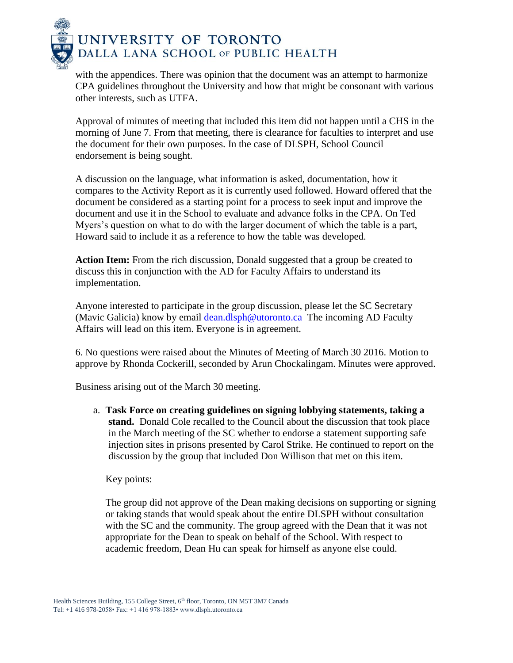

with the appendices. There was opinion that the document was an attempt to harmonize CPA guidelines throughout the University and how that might be consonant with various other interests, such as UTFA.

Approval of minutes of meeting that included this item did not happen until a CHS in the morning of June 7. From that meeting, there is clearance for faculties to interpret and use the document for their own purposes. In the case of DLSPH, School Council endorsement is being sought.

A discussion on the language, what information is asked, documentation, how it compares to the Activity Report as it is currently used followed. Howard offered that the document be considered as a starting point for a process to seek input and improve the document and use it in the School to evaluate and advance folks in the CPA. On Ted Myers's question on what to do with the larger document of which the table is a part, Howard said to include it as a reference to how the table was developed.

**Action Item:** From the rich discussion, Donald suggested that a group be created to discuss this in conjunction with the AD for Faculty Affairs to understand its implementation.

Anyone interested to participate in the group discussion, please let the SC Secretary (Mavic Galicia) know by email [dean.dlsph@utoronto.ca](mailto:dean.dlsph@utoronto.ca) The incoming AD Faculty Affairs will lead on this item. Everyone is in agreement.

6. No questions were raised about the Minutes of Meeting of March 30 2016. Motion to approve by Rhonda Cockerill, seconded by Arun Chockalingam. Minutes were approved.

Business arising out of the March 30 meeting.

a. **Task Force on creating guidelines on signing lobbying statements, taking a stand.** Donald Cole recalled to the Council about the discussion that took place in the March meeting of the SC whether to endorse a statement supporting safe injection sites in prisons presented by Carol Strike. He continued to report on the discussion by the group that included Don Willison that met on this item.

Key points:

The group did not approve of the Dean making decisions on supporting or signing or taking stands that would speak about the entire DLSPH without consultation with the SC and the community. The group agreed with the Dean that it was not appropriate for the Dean to speak on behalf of the School. With respect to academic freedom, Dean Hu can speak for himself as anyone else could.